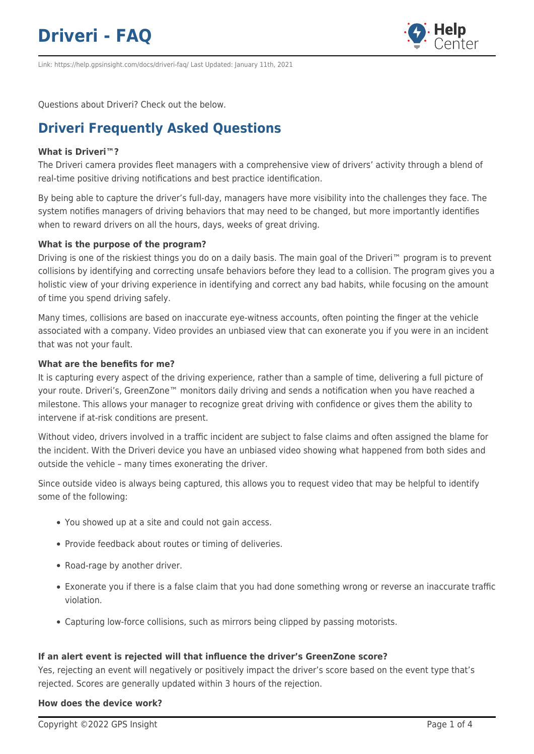

Link: https://help.gpsinsight.com/docs/driveri-faq/ Last Updated: January 11th, 2021

Questions about Driveri? Check out the below.

# **Driveri Frequently Asked Questions**

# **What is Driveri™?**

The Driveri camera provides fleet managers with a comprehensive view of drivers' activity through a blend of real-time positive driving notifications and best practice identification.

By being able to capture the driver's full-day, managers have more visibility into the challenges they face. The system notifies managers of driving behaviors that may need to be changed, but more importantly identifies when to reward drivers on all the hours, days, weeks of great driving.

### **What is the purpose of the program?**

Driving is one of the riskiest things you do on a daily basis. The main goal of the Driveri™ program is to prevent collisions by identifying and correcting unsafe behaviors before they lead to a collision. The program gives you a holistic view of your driving experience in identifying and correct any bad habits, while focusing on the amount of time you spend driving safely.

Many times, collisions are based on inaccurate eye-witness accounts, often pointing the finger at the vehicle associated with a company. Video provides an unbiased view that can exonerate you if you were in an incident that was not your fault.

### **What are the benefits for me?**

It is capturing every aspect of the driving experience, rather than a sample of time, delivering a full picture of your route. Driveri's, GreenZone™ monitors daily driving and sends a notification when you have reached a milestone. This allows your manager to recognize great driving with confidence or gives them the ability to intervene if at-risk conditions are present.

Without video, drivers involved in a traffic incident are subject to false claims and often assigned the blame for the incident. With the Driveri device you have an unbiased video showing what happened from both sides and outside the vehicle – many times exonerating the driver.

Since outside video is always being captured, this allows you to request video that may be helpful to identify some of the following:

- You showed up at a site and could not gain access.
- Provide feedback about routes or timing of deliveries.
- Road-rage by another driver.
- Exonerate you if there is a false claim that you had done something wrong or reverse an inaccurate traffic violation.
- Capturing low-force collisions, such as mirrors being clipped by passing motorists.

## **If an alert event is rejected will that influence the driver's GreenZone score?**

Yes, rejecting an event will negatively or positively impact the driver's score based on the event type that's rejected. Scores are generally updated within 3 hours of the rejection.

### **How does the device work?**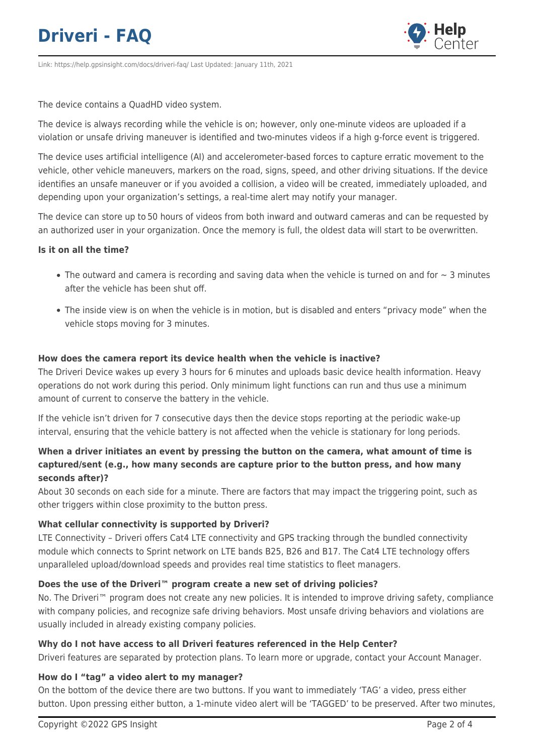

Link: https://help.gpsinsight.com/docs/driveri-faq/ Last Updated: January 11th, 2021

The device contains a QuadHD video system.

The device is always recording while the vehicle is on; however, only one-minute videos are uploaded if a violation or unsafe driving maneuver is identified and two-minutes videos if a high g-force event is triggered.

The device uses artificial intelligence (AI) and accelerometer-based forces to capture erratic movement to the vehicle, other vehicle maneuvers, markers on the road, signs, speed, and other driving situations. If the device identifies an unsafe maneuver or if you avoided a collision, a video will be created, immediately uploaded, and depending upon your organization's settings, a real-time alert may notify your manager.

The device can store up to 50 hours of videos from both inward and outward cameras and can be requested by an authorized user in your organization. Once the memory is full, the oldest data will start to be overwritten.

### **Is it on all the time?**

- The outward and camera is recording and saving data when the vehicle is turned on and for  $\sim$  3 minutes after the vehicle has been shut off.
- The inside view is on when the vehicle is in motion, but is disabled and enters "privacy mode" when the vehicle stops moving for 3 minutes.

### **How does the camera report its device health when the vehicle is inactive?**

The Driveri Device wakes up every 3 hours for 6 minutes and uploads basic device health information. Heavy operations do not work during this period. Only minimum light functions can run and thus use a minimum amount of current to conserve the battery in the vehicle.

If the vehicle isn't driven for 7 consecutive days then the device stops reporting at the periodic wake-up interval, ensuring that the vehicle battery is not affected when the vehicle is stationary for long periods.

# **When a driver initiates an event by pressing the button on the camera, what amount of time is captured/sent (e.g., how many seconds are capture prior to the button press, and how many seconds after)?**

About 30 seconds on each side for a minute. There are factors that may impact the triggering point, such as other triggers within close proximity to the button press.

# **What cellular connectivity is supported by Driveri?**

LTE Connectivity – Driveri offers Cat4 LTE connectivity and GPS tracking through the bundled connectivity module which connects to Sprint network on LTE bands B25, B26 and B17. The Cat4 LTE technology offers unparalleled upload/download speeds and provides real time statistics to fleet managers.

## **Does the use of the Driveri™ program create a new set of driving policies?**

No. The Driveri™ program does not create any new policies. It is intended to improve driving safety, compliance with company policies, and recognize safe driving behaviors. Most unsafe driving behaviors and violations are usually included in already existing company policies.

# **Why do I not have access to all Driveri features referenced in the Help Center?**

Driveri features are separated by protection plans. To learn more or upgrade, contact your Account Manager.

## **How do I "tag" a video alert to my manager?**

On the bottom of the device there are two buttons. If you want to immediately 'TAG' a video, press either button. Upon pressing either button, a 1-minute video alert will be 'TAGGED' to be preserved. After two minutes,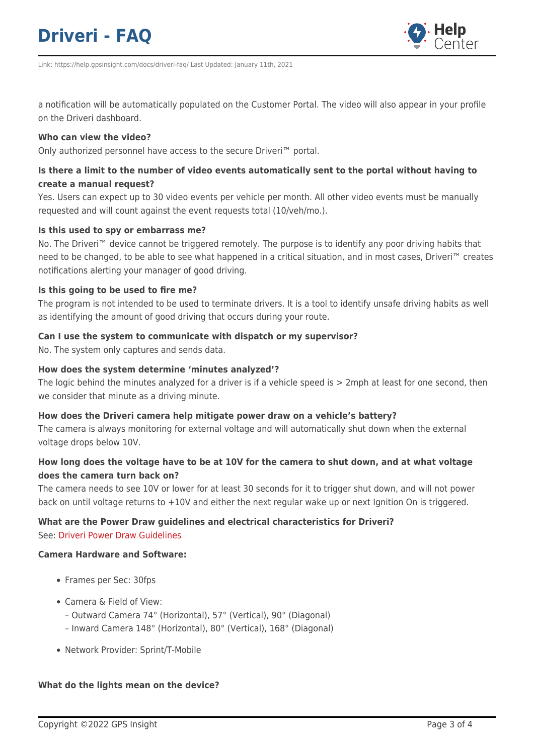

Link: https://help.gpsinsight.com/docs/driveri-faq/ Last Updated: January 11th, 2021

a notification will be automatically populated on the Customer Portal. The video will also appear in your profile on the Driveri dashboard.

#### **Who can view the video?**

Only authorized personnel have access to the secure Driveri™ portal.

# **Is there a limit to the number of video events automatically sent to the portal without having to create a manual request?**

Yes. Users can expect up to 30 video events per vehicle per month. All other video events must be manually requested and will count against the event requests total (10/veh/mo.).

### **Is this used to spy or embarrass me?**

No. The Driveri<sup>™</sup> device cannot be triggered remotely. The purpose is to identify any poor driving habits that need to be changed, to be able to see what happened in a critical situation, and in most cases, Driveri™ creates notifications alerting your manager of good driving.

### **Is this going to be used to fire me?**

The program is not intended to be used to terminate drivers. It is a tool to identify unsafe driving habits as well as identifying the amount of good driving that occurs during your route.

#### **Can I use the system to communicate with dispatch or my supervisor?**

No. The system only captures and sends data.

### **How does the system determine 'minutes analyzed'?**

The logic behind the minutes analyzed for a driver is if a vehicle speed is > 2mph at least for one second, then we consider that minute as a driving minute.

### **How does the Driveri camera help mitigate power draw on a vehicle's battery?**

The camera is always monitoring for external voltage and will automatically shut down when the external voltage drops below 10V.

## **How long does the voltage have to be at 10V for the camera to shut down, and at what voltage does the camera turn back on?**

The camera needs to see 10V or lower for at least 30 seconds for it to trigger shut down, and will not power back on until voltage returns to +10V and either the next regular wake up or next Ignition On is triggered.

## **What are the Power Draw guidelines and electrical characteristics for Driveri?** See: [Driveri Power Draw Guidelines](https://help.gpsinsight.com/wp-content/uploads/2016/09/Driveri-Power-Draw-Guidelines.pdf)

#### **Camera Hardware and Software:**

- Frames per Sec: 30fps
- Camera & Field of View:
	- Outward Camera 74° (Horizontal), 57° (Vertical), 90° (Diagonal)
	- Inward Camera 148° (Horizontal), 80° (Vertical), 168° (Diagonal)
- Network Provider: Sprint/T-Mobile

### **What do the lights mean on the device?**